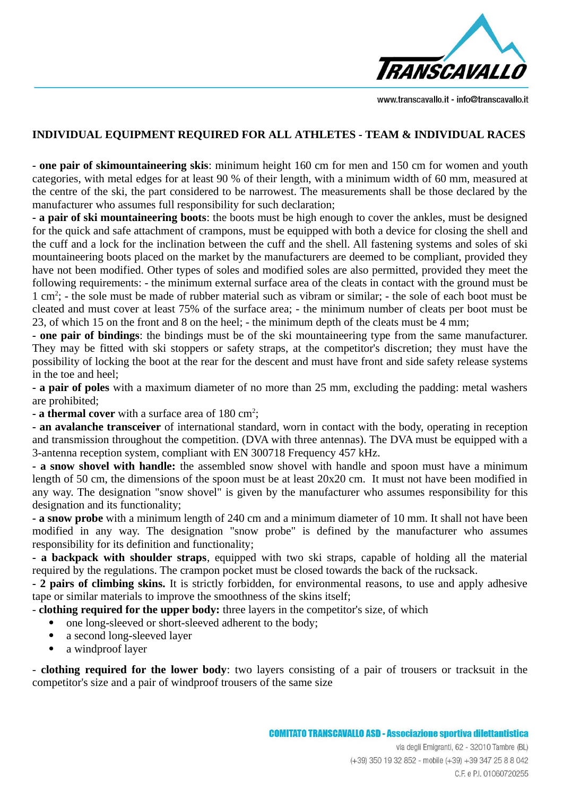

www.transcavallo.it - info@transcavallo.it

## **INDIVIDUAL EQUIPMENT REQUIRED FOR ALL ATHLETES - TEAM & INDIVIDUAL RACES**

**- one pair of skimountaineering skis**: minimum height 160 cm for men and 150 cm for women and youth categories, with metal edges for at least 90 % of their length, with a minimum width of 60 mm, measured at the centre of the ski, the part considered to be narrowest. The measurements shall be those declared by the manufacturer who assumes full responsibility for such declaration;

**- a pair of ski mountaineering boots**: the boots must be high enough to cover the ankles, must be designed for the quick and safe attachment of crampons, must be equipped with both a device for closing the shell and the cuff and a lock for the inclination between the cuff and the shell. All fastening systems and soles of ski mountaineering boots placed on the market by the manufacturers are deemed to be compliant, provided they have not been modified. Other types of soles and modified soles are also permitted, provided they meet the following requirements: - the minimum external surface area of the cleats in contact with the ground must be 1 cm<sup>2</sup>; - the sole must be made of rubber material such as vibram or similar; - the sole of each boot must be cleated and must cover at least 75% of the surface area; - the minimum number of cleats per boot must be 23, of which 15 on the front and 8 on the heel; - the minimum depth of the cleats must be 4 mm;

**- one pair of bindings**: the bindings must be of the ski mountaineering type from the same manufacturer. They may be fitted with ski stoppers or safety straps, at the competitor's discretion; they must have the possibility of locking the boot at the rear for the descent and must have front and side safety release systems in the toe and heel;

**- a pair of poles** with a maximum diameter of no more than 25 mm, excluding the padding: metal washers are prohibited;

- **a thermal cover** with a surface area of 180 cm<sup>2</sup>;

**- an avalanche transceiver** of international standard, worn in contact with the body, operating in reception and transmission throughout the competition. (DVA with three antennas). The DVA must be equipped with a 3-antenna reception system, compliant with EN 300718 Frequency 457 kHz.

**- a snow shovel with handle:** the assembled snow shovel with handle and spoon must have a minimum length of 50 cm, the dimensions of the spoon must be at least 20x20 cm. It must not have been modified in any way. The designation "snow shovel" is given by the manufacturer who assumes responsibility for this designation and its functionality;

**- a snow probe** with a minimum length of 240 cm and a minimum diameter of 10 mm. It shall not have been modified in any way. The designation "snow probe" is defined by the manufacturer who assumes responsibility for its definition and functionality;

**- a backpack with shoulder straps**, equipped with two ski straps, capable of holding all the material required by the regulations. The crampon pocket must be closed towards the back of the rucksack.

**- 2 pairs of climbing skins.** It is strictly forbidden, for environmental reasons, to use and apply adhesive tape or similar materials to improve the smoothness of the skins itself;

- **clothing required for the upper body:** three layers in the competitor's size, of which

- one long-sleeved or short-sleeved adherent to the body;
- a second long-sleeved layer
- a windproof layer

- **clothing required for the lower body**: two layers consisting of a pair of trousers or tracksuit in the competitor's size and a pair of windproof trousers of the same size